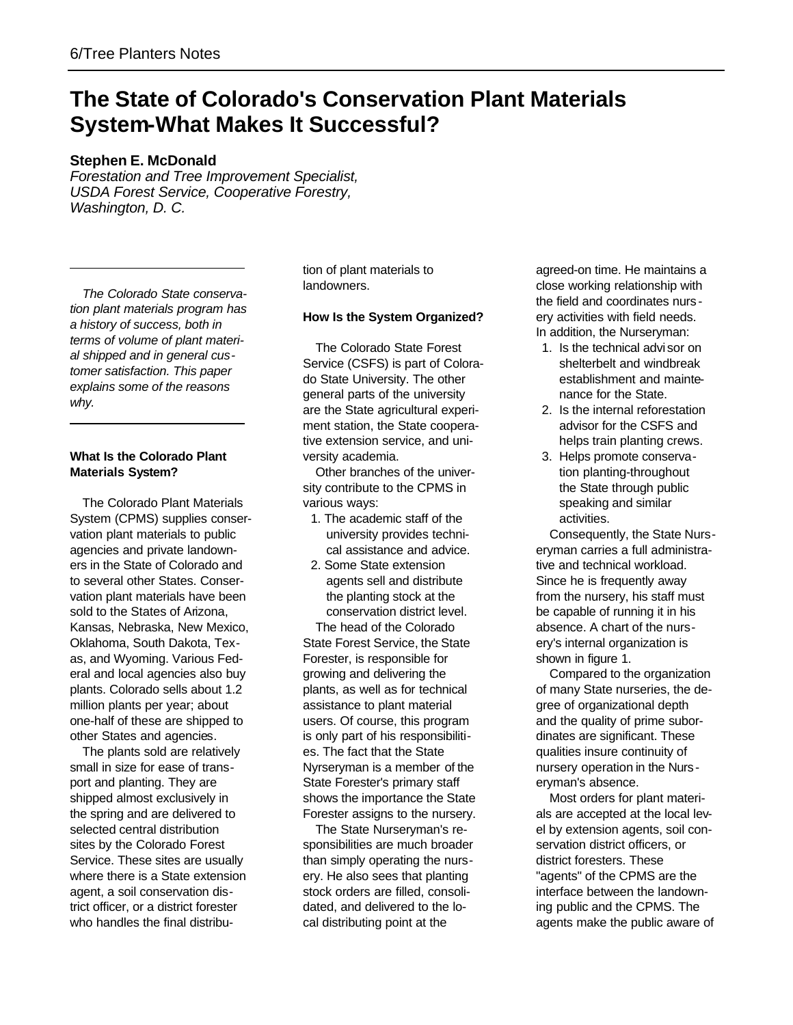# **The State of Colorado's Conservation Plant Materials System-What Makes It Successful?**

## **Stephen E. McDonald**

*Forestation and Tree Improvement Specialist, USDA Forest Service, Cooperative Forestry, Washington, D. C.*

*The Colorado State conservation plant materials program has a history of success, both in terms of volume of plant material shipped and in general customer satisfaction. This paper explains some of the reasons why.*

### **What Is the Colorado Plant Materials System?**

The Colorado Plant Materials System (CPMS) supplies conservation plant materials to public agencies and private landowners in the State of Colorado and to several other States. Conservation plant materials have been sold to the States of Arizona, Kansas, Nebraska, New Mexico, Oklahoma, South Dakota, Texas, and Wyoming. Various Federal and local agencies also buy plants. Colorado sells about 1.2 million plants per year; about one-half of these are shipped to other States and agencies.

The plants sold are relatively small in size for ease of transport and planting. They are shipped almost exclusively in the spring and are delivered to selected central distribution sites by the Colorado Forest Service. These sites are usually where there is a State extension agent, a soil conservation district officer, or a district forester who handles the final distribu-

tion of plant materials to landowners.

#### **How Is the System Organized?**

The Colorado State Forest Service (CSFS) is part of Colorado State University. The other general parts of the university are the State agricultural experiment station, the State cooperative extension service, and university academia.

Other branches of the university contribute to the CPMS in various ways:

- 1. The academic staff of the university provides technical assistance and advice.
- 2. Some State extension agents sell and distribute the planting stock at the conservation district level. The head of the Colorado State Forest Service, the State Forester, is responsible for growing and delivering the plants, as well as for technical assistance to plant material users. Of course, this program is only part of his responsibilities. The fact that the State Nyrseryman is a member of the State Forester's primary staff shows the importance the State Forester assigns to the nursery.

The State Nurseryman's responsibilities are much broader than simply operating the nursery. He also sees that planting stock orders are filled, consolidated, and delivered to the local distributing point at the

agreed-on time. He maintains a close working relationship with the field and coordinates nurs ery activities with field needs. In addition, the Nurseryman:

- 1. Is the technical advi sor on shelterbelt and windbreak establishment and maintenance for the State.
- 2. Is the internal reforestation advisor for the CSFS and helps train planting crews.
- 3. Helps promote conservation planting-throughout the State through public speaking and similar activities.

Consequently, the State Nurseryman carries a full administrative and technical workload. Since he is frequently away from the nursery, his staff must be capable of running it in his absence. A chart of the nursery's internal organization is shown in figure 1.

Compared to the organization of many State nurseries, the degree of organizational depth and the quality of prime subordinates are significant. These qualities insure continuity of nursery operation in the Nurseryman's absence.

Most orders for plant materials are accepted at the local level by extension agents, soil conservation district officers, or district foresters. These "agents" of the CPMS are the interface between the landowning public and the CPMS. The agents make the public aware of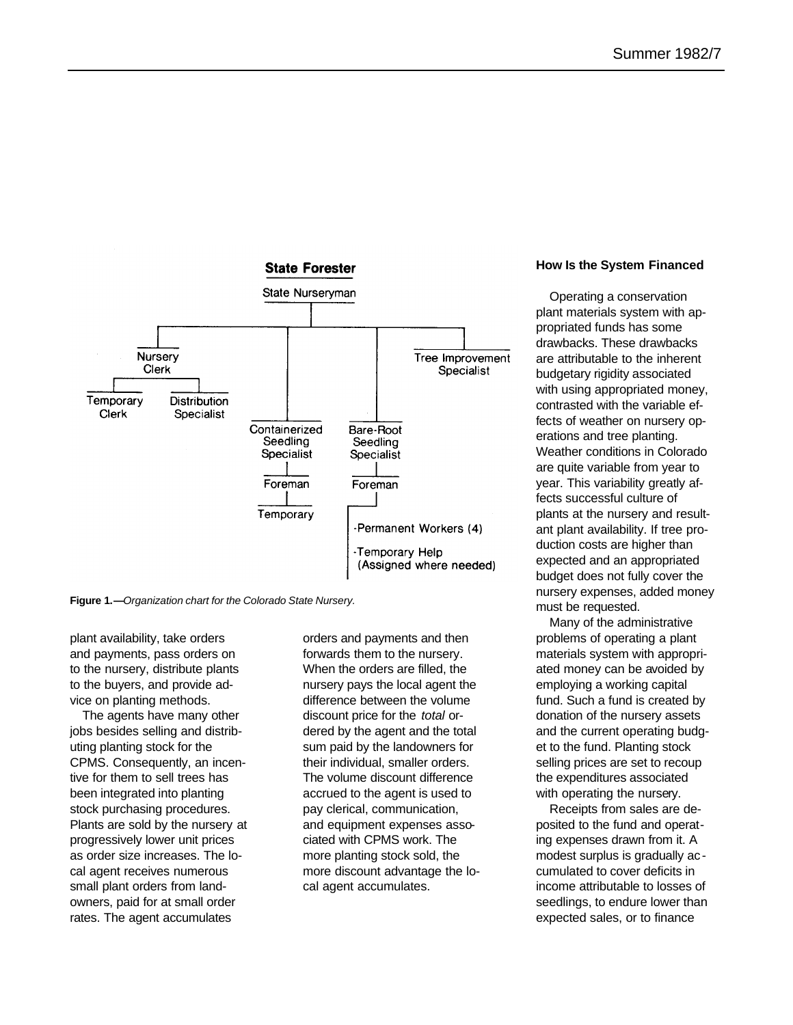

**Figure 1.—***Organization chart for the Colorado State Nursery.*

plant availability, take orders and payments, pass orders on to the nursery, distribute plants to the buyers, and provide advice on planting methods.

The agents have many other jobs besides selling and distributing planting stock for the CPMS. Consequently, an incentive for them to sell trees has been integrated into planting stock purchasing procedures. Plants are sold by the nursery at progressively lower unit prices as order size increases. The local agent receives numerous small plant orders from landowners, paid for at small order rates. The agent accumulates

orders and payments and then forwards them to the nursery. When the orders are filled, the nursery pays the local agent the difference between the volume discount price for the *total* ordered by the agent and the total sum paid by the landowners for their individual, smaller orders. The volume discount difference accrued to the agent is used to pay clerical, communication, and equipment expenses associated with CPMS work. The more planting stock sold, the more discount advantage the local agent accumulates.

#### **How Is the System Financed**

Operating a conservation plant materials system with appropriated funds has some drawbacks. These drawbacks are attributable to the inherent budgetary rigidity associated with using appropriated money, contrasted with the variable effects of weather on nursery operations and tree planting. Weather conditions in Colorado are quite variable from year to year. This variability greatly affects successful culture of plants at the nursery and resultant plant availability. If tree production costs are higher than expected and an appropriated budget does not fully cover the nursery expenses, added money must be requested.

Many of the administrative problems of operating a plant materials system with appropriated money can be avoided by employing a working capital fund. Such a fund is created by donation of the nursery assets and the current operating budget to the fund. Planting stock selling prices are set to recoup the expenditures associated with operating the nursery.

Receipts from sales are deposited to the fund and operating expenses drawn from it. A modest surplus is gradually ac cumulated to cover deficits in income attributable to losses of seedlings, to endure lower than expected sales, or to finance